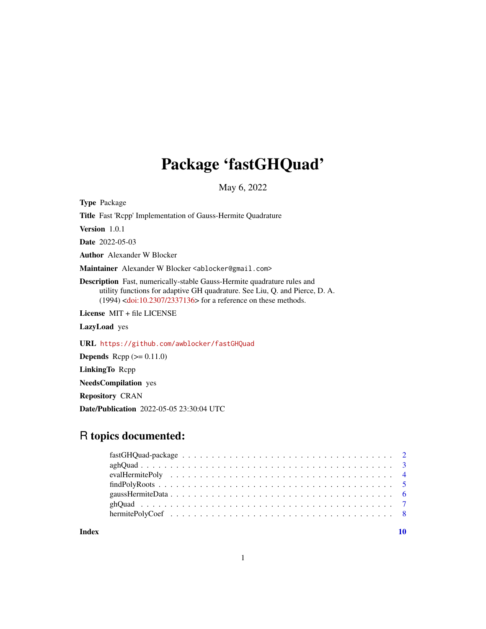## Package 'fastGHQuad'

May 6, 2022

Type Package

Title Fast 'Rcpp' Implementation of Gauss-Hermite Quadrature

Version 1.0.1

Date 2022-05-03

Author Alexander W Blocker

Maintainer Alexander W Blocker <ablocker@gmail.com>

Description Fast, numerically-stable Gauss-Hermite quadrature rules and utility functions for adaptive GH quadrature. See Liu, Q. and Pierce, D. A. (1994) [<doi:10.2307/2337136>](https://doi.org/10.2307/2337136) for a reference on these methods.

License MIT + file LICENSE

LazyLoad yes

URL <https://github.com/awblocker/fastGHQuad>

**Depends** Rcpp  $(>= 0.11.0)$ 

LinkingTo Rcpp

NeedsCompilation yes

Repository CRAN

Date/Publication 2022-05-05 23:30:04 UTC

## R topics documented:

 $\blacksquare$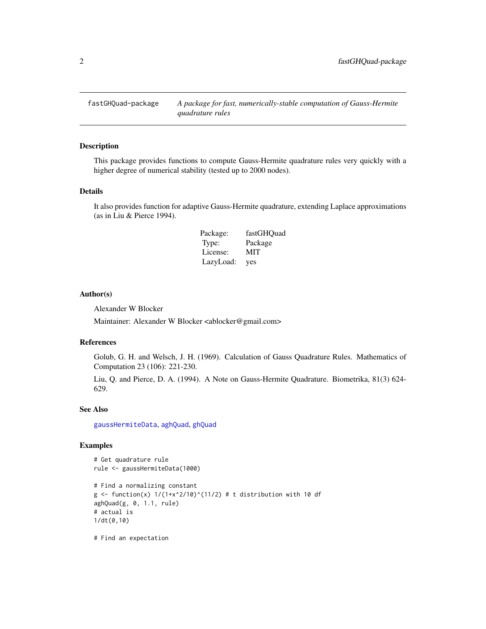<span id="page-1-0"></span>

#### Description

This package provides functions to compute Gauss-Hermite quadrature rules very quickly with a higher degree of numerical stability (tested up to 2000 nodes).

#### Details

It also provides function for adaptive Gauss-Hermite quadrature, extending Laplace approximations (as in Liu & Pierce 1994).

| Package:  | fastGHQuad |
|-----------|------------|
| Type:     | Package    |
| License:  | MIT        |
| LazyLoad: | yes        |

## Author(s)

Alexander W Blocker

Maintainer: Alexander W Blocker <ablocker@gmail.com>

#### References

Golub, G. H. and Welsch, J. H. (1969). Calculation of Gauss Quadrature Rules. Mathematics of Computation 23 (106): 221-230.

Liu, Q. and Pierce, D. A. (1994). A Note on Gauss-Hermite Quadrature. Biometrika, 81(3) 624- 629.

#### See Also

[gaussHermiteData](#page-5-1), [aghQuad](#page-2-1), [ghQuad](#page-6-1)

#### Examples

```
# Get quadrature rule
rule <- gaussHermiteData(1000)
# Find a normalizing constant
g \leftarrow function(x) 1/(1+x^2/10)^(11/2) # t distribution with 10 df
aghQuad(g, 0, 1.1, rule)# actual is
1/dt(0,10)
```
# Find an expectation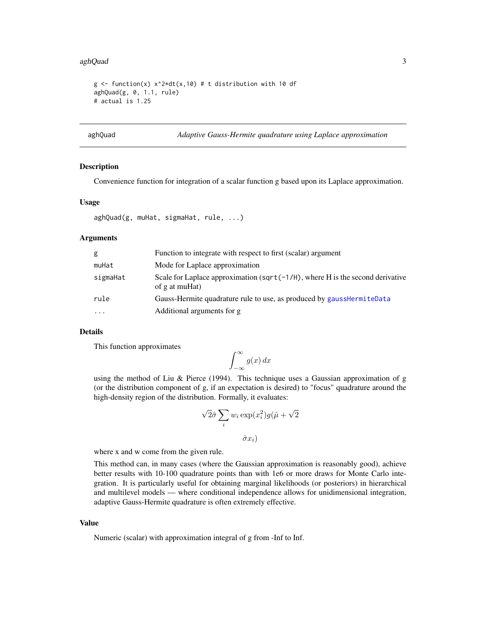#### <span id="page-2-0"></span>aghQuad 3

```
g \le function(x) x^2 * dt(x,10) # t distribution with 10 df
aghQuad(g, 0, 1.1, rule)
# actual is 1.25
```
<span id="page-2-1"></span>

#### aghQuad *Adaptive Gauss-Hermite quadrature using Laplace approximation*

#### **Description**

Convenience function for integration of a scalar function g based upon its Laplace approximation.

#### Usage

```
aghQuad(g, muHat, sigmaHat, rule, ...)
```
#### Arguments

| g         | Function to integrate with respect to first (scalar) argument                                       |
|-----------|-----------------------------------------------------------------------------------------------------|
| muHat     | Mode for Laplace approximation                                                                      |
| sigmaHat  | Scale for Laplace approximation (sqrt( $-1/H$ ), where H is the second derivative<br>of g at muHat) |
| rule      | Gauss-Hermite quadrature rule to use, as produced by gausshermiteData                               |
| $\ddotsc$ | Additional arguments for g                                                                          |

## Details

This function approximates

$$
\int_{-\infty}^{\infty} g(x) \, dx
$$

using the method of Liu & Pierce  $(1994)$ . This technique uses a Gaussian approximation of g (or the distribution component of g, if an expectation is desired) to "focus" quadrature around the high-density region of the distribution. Formally, it evaluates:

$$
\sqrt{2}\hat{\sigma}\sum_{i} w_i \exp(x_i^2)g(\hat{\mu} + \sqrt{2})
$$

$$
\hat{\sigma}x_i)
$$

where x and w come from the given rule.

This method can, in many cases (where the Gaussian approximation is reasonably good), achieve better results with 10-100 quadrature points than with 1e6 or more draws for Monte Carlo integration. It is particularly useful for obtaining marginal likelihoods (or posteriors) in hierarchical and multilevel models — where conditional independence allows for unidimensional integration, adaptive Gauss-Hermite quadrature is often extremely effective.

#### Value

Numeric (scalar) with approximation integral of g from -Inf to Inf.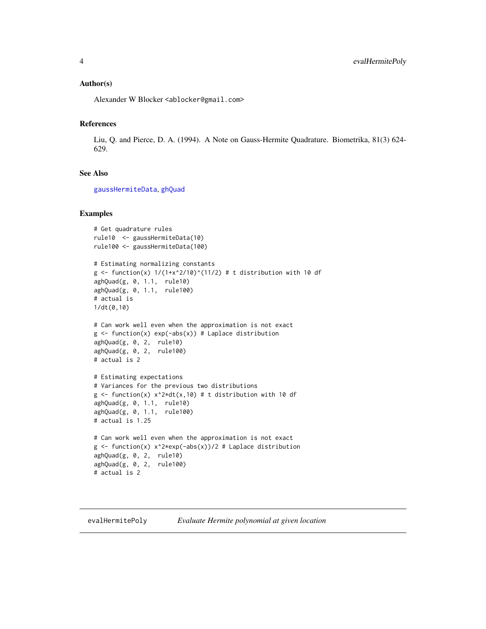#### <span id="page-3-0"></span>Author(s)

Alexander W Blocker <ablocker@gmail.com>

#### References

Liu, Q. and Pierce, D. A. (1994). A Note on Gauss-Hermite Quadrature. Biometrika, 81(3) 624- 629.

## See Also

[gaussHermiteData](#page-5-1), [ghQuad](#page-6-1)

## Examples

```
# Get quadrature rules
rule10 <- gaussHermiteData(10)
rule100 <- gaussHermiteData(100)
# Estimating normalizing constants
g <- function(x) 1/(1+x^2/10)^(11/2) # t distribution with 10 df
aghQuad(g, 0, 1.1, rule10)
aghQuad(g, 0, 1.1, rule100)
# actual is
1/dt(0,10)
# Can work well even when the approximation is not exact
g \leftarrow function(x) exp(-abs(x)) # Laplace distribution
aghQuad(g, 0, 2, rule10)
aghQuad(g, 0, 2, rule100)
# actual is 2
# Estimating expectations
# Variances for the previous two distributions
g \le function(x) x^2+dt(x,10) # t distribution with 10 df
aghQuad(g, 0, 1.1, rule10)
aghQuad(g, 0, 1.1, rule100)
# actual is 1.25
# Can work well even when the approximation is not exact
g \leftarrow function(x) x^2*exp(-abs(x))/2 # Laplace distribution
aghQuad(g, 0, 2, rule10)
aghQuad(g, 0, 2, rule100)
# actual is 2
```
#### evalHermitePoly *Evaluate Hermite polynomial at given location*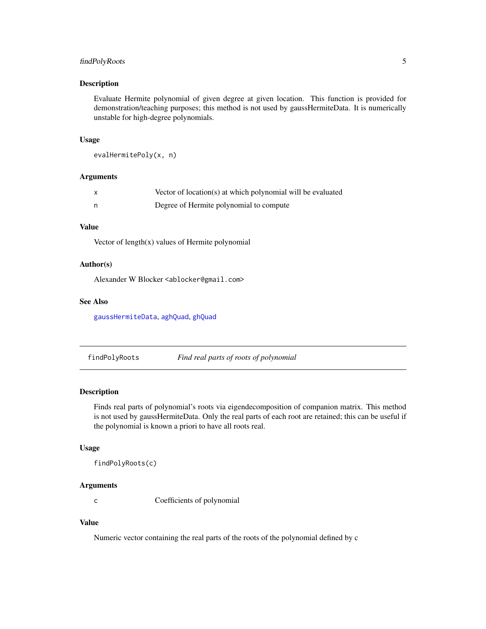## <span id="page-4-0"></span>findPolyRoots 5

#### Description

Evaluate Hermite polynomial of given degree at given location. This function is provided for demonstration/teaching purposes; this method is not used by gaussHermiteData. It is numerically unstable for high-degree polynomials.

#### Usage

```
evalHermitePoly(x, n)
```
#### Arguments

| Vector of location(s) at which polynomial will be evaluated |
|-------------------------------------------------------------|
| Degree of Hermite polynomial to compute                     |

## Value

Vector of length(x) values of Hermite polynomial

#### Author(s)

Alexander W Blocker <ablocker@gmail.com>

#### See Also

[gaussHermiteData](#page-5-1), [aghQuad](#page-2-1), [ghQuad](#page-6-1)

findPolyRoots *Find real parts of roots of polynomial*

#### Description

Finds real parts of polynomial's roots via eigendecomposition of companion matrix. This method is not used by gaussHermiteData. Only the real parts of each root are retained; this can be useful if the polynomial is known a priori to have all roots real.

#### Usage

findPolyRoots(c)

## Arguments

c Coefficients of polynomial

## Value

Numeric vector containing the real parts of the roots of the polynomial defined by c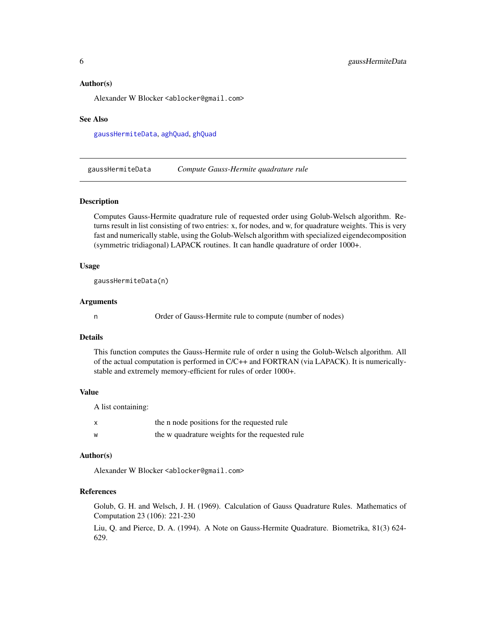#### <span id="page-5-0"></span>Author(s)

Alexander W Blocker <ablocker@gmail.com>

#### See Also

[gaussHermiteData](#page-5-1), [aghQuad](#page-2-1), [ghQuad](#page-6-1)

<span id="page-5-1"></span>gaussHermiteData *Compute Gauss-Hermite quadrature rule*

## **Description**

Computes Gauss-Hermite quadrature rule of requested order using Golub-Welsch algorithm. Returns result in list consisting of two entries: x, for nodes, and w, for quadrature weights. This is very fast and numerically stable, using the Golub-Welsch algorithm with specialized eigendecomposition (symmetric tridiagonal) LAPACK routines. It can handle quadrature of order 1000+.

#### Usage

gaussHermiteData(n)

#### Arguments

n Order of Gauss-Hermite rule to compute (number of nodes)

#### Details

This function computes the Gauss-Hermite rule of order n using the Golub-Welsch algorithm. All of the actual computation is performed in C/C++ and FORTRAN (via LAPACK). It is numericallystable and extremely memory-efficient for rules of order 1000+.

#### Value

A list containing:

| $\boldsymbol{\mathsf{x}}$ | the n node positions for the requested rule     |
|---------------------------|-------------------------------------------------|
| W                         | the w quadrature weights for the requested rule |

#### Author(s)

Alexander W Blocker <ablocker@gmail.com>

## References

Golub, G. H. and Welsch, J. H. (1969). Calculation of Gauss Quadrature Rules. Mathematics of Computation 23 (106): 221-230

Liu, Q. and Pierce, D. A. (1994). A Note on Gauss-Hermite Quadrature. Biometrika, 81(3) 624- 629.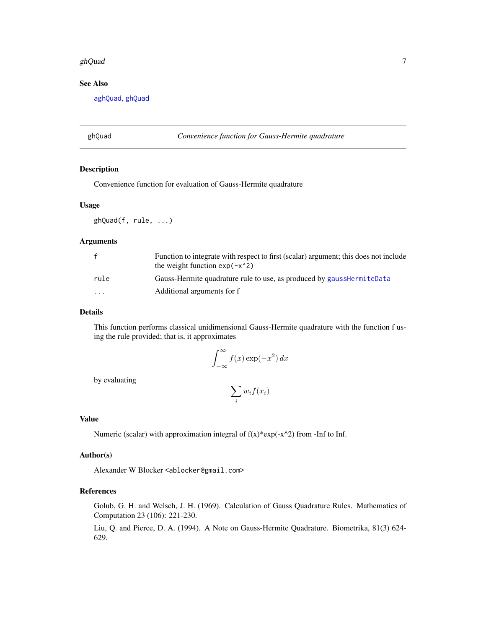#### <span id="page-6-0"></span>ghQuad  $\sigma$  7 and  $\sigma$  7 and  $\sigma$  7 and  $\sigma$  7 and  $\sigma$  7 and  $\sigma$  7 and  $\sigma$  7 and  $\sigma$  7 and  $\sigma$  7 and  $\sigma$  7 and  $\sigma$  7 and  $\sigma$  7 and  $\sigma$  7 and  $\sigma$  7 and  $\sigma$  7 and  $\sigma$  7 and  $\sigma$  7 and  $\sigma$  7 and  $\sigma$  7 and  $\sigma$

## See Also

[aghQuad](#page-2-1), [ghQuad](#page-6-1)

#### <span id="page-6-1"></span>ghQuad *Convenience function for Gauss-Hermite quadrature*

## Description

Convenience function for evaluation of Gauss-Hermite quadrature

#### Usage

ghQuad(f, rule, ...)

## Arguments

|          | Function to integrate with respect to first (scalar) argument; this does not include<br>the weight function $exp(-x^2)$ |
|----------|-------------------------------------------------------------------------------------------------------------------------|
| rule     | Gauss-Hermite quadrature rule to use, as produced by gausshermiteData                                                   |
| $\cdots$ | Additional arguments for f                                                                                              |

#### Details

This function performs classical unidimensional Gauss-Hermite quadrature with the function f using the rule provided; that is, it approximates

$$
\int_{-\infty}^{\infty} f(x) \exp(-x^2) dx
$$

by evaluating

$$
\sum_i w_i f(x_i)
$$

## Value

Numeric (scalar) with approximation integral of  $f(x)*exp(-x^2)$  from -Inf to Inf.

#### Author(s)

Alexander W Blocker <ablocker@gmail.com>

## References

Golub, G. H. and Welsch, J. H. (1969). Calculation of Gauss Quadrature Rules. Mathematics of Computation 23 (106): 221-230.

Liu, Q. and Pierce, D. A. (1994). A Note on Gauss-Hermite Quadrature. Biometrika, 81(3) 624- 629.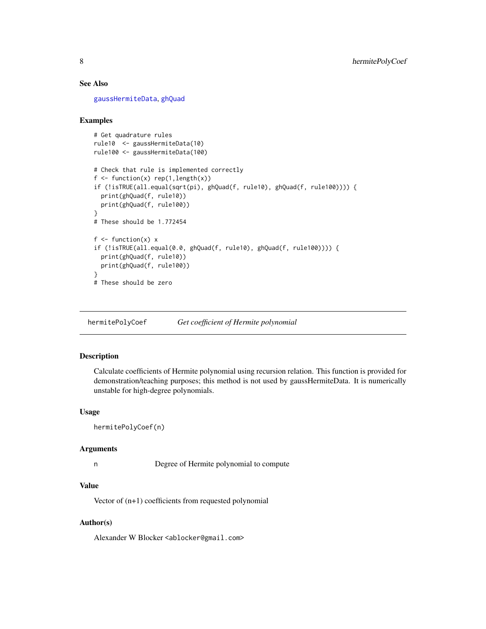## See Also

[gaussHermiteData](#page-5-1), [ghQuad](#page-6-1)

#### Examples

```
# Get quadrature rules
rule10 <- gaussHermiteData(10)
rule100 <- gaussHermiteData(100)
# Check that rule is implemented correctly
f \leftarrow function(x) rep(1, length(x))if (!isTRUE(all.equal(sqrt(pi), ghQuad(f, rule10), ghQuad(f, rule100)))) {
  print(ghQuad(f, rule10))
  print(ghQuad(f, rule100))
}
# These should be 1.772454
f \leftarrow function(x) x
if (!isTRUE(all.equal(0.0, ghQuad(f, rule10), ghQuad(f, rule100)))) {
  print(ghQuad(f, rule10))
  print(ghQuad(f, rule100))
}
# These should be zero
```
hermitePolyCoef *Get coefficient of Hermite polynomial*

#### Description

Calculate coefficients of Hermite polynomial using recursion relation. This function is provided for demonstration/teaching purposes; this method is not used by gaussHermiteData. It is numerically unstable for high-degree polynomials.

#### Usage

```
hermitePolyCoef(n)
```
#### Arguments

```
n Degree of Hermite polynomial to compute
```
## Value

Vector of (n+1) coefficients from requested polynomial

### Author(s)

Alexander W Blocker <ablocker@gmail.com>

<span id="page-7-0"></span>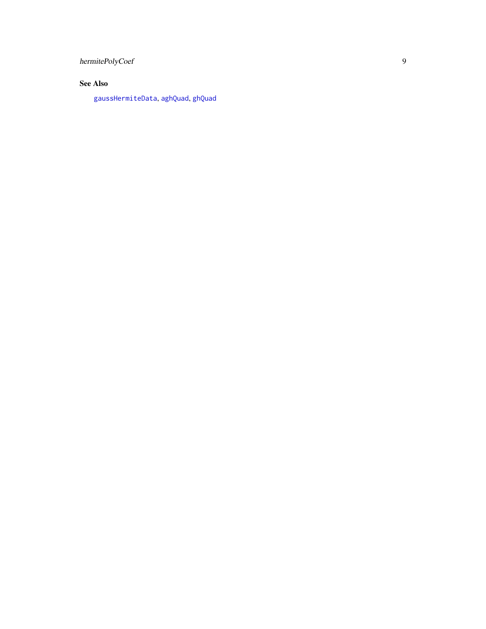<span id="page-8-0"></span>hermitePolyCoef

## See Also

[gaussHermiteData](#page-5-1) , [aghQuad](#page-2-1) , [ghQuad](#page-6-1)